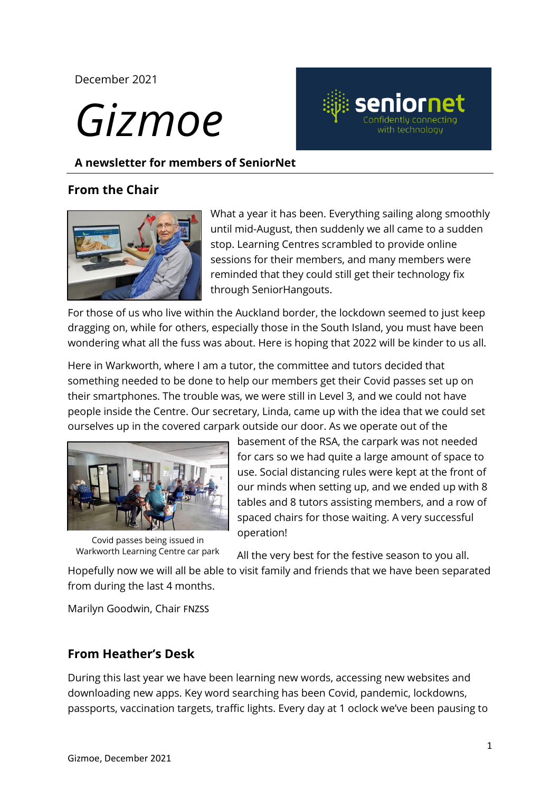#### December 2021

# *Gizmoe*



**A newsletter for members of SeniorNet** 

#### **Federation From the Chair**



What a year it has been. Everything sailing along smoothly until mid-August, then suddenly we all came to a sudden stop. Learning Centres scrambled to provide online sessions for their members, and many members were reminded that they could still get their technology fix through SeniorHangouts.

For those of us who live within the Auckland border, the lockdown seemed to just keep dragging on, while for others, especially those in the South Island, you must have been wondering what all the fuss was about. Here is hoping that 2022 will be kinder to us all.

Here in Warkworth, where I am a tutor, the committee and tutors decided that something needed to be done to help our members get their Covid passes set up on their smartphones. The trouble was, we were still in Level 3, and we could not have people inside the Centre. Our secretary, Linda, came up with the idea that we could set ourselves up in the covered carpark outside our door. As we operate out of the



Covid passes being issued in Warkworth Learning Centre car park

basement of the RSA, the carpark was not needed for cars so we had quite a large amount of space to use. Social distancing rules were kept at the front of our minds when setting up, and we ended up with 8 tables and 8 tutors assisting members, and a row of spaced chairs for those waiting. A very successful operation!

All the very best for the festive season to you all.

Hopefully now we will all be able to visit family and friends that we have been separated from during the last 4 months.

Marilyn Goodwin, Chair FNZSS

## **From Heather's Desk**

During this last year we have been learning new words, accessing new websites and downloading new apps. Key word searching has been Covid, pandemic, lockdowns, passports, vaccination targets, traffic lights. Every day at 1 oclock we've been pausing to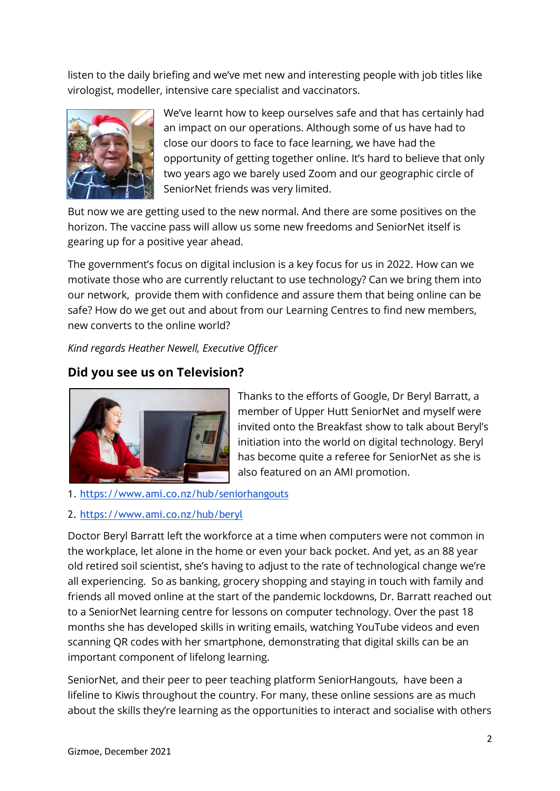listen to the daily briefing and we've met new and interesting people with job titles like virologist, modeller, intensive care specialist and vaccinators.



We've learnt how to keep ourselves safe and that has certainly had an impact on our operations. Although some of us have had to close our doors to face to face learning, we have had the opportunity of getting together online. It's hard to believe that only two years ago we barely used Zoom and our geographic circle of SeniorNet friends was very limited.

But now we are getting used to the new normal. And there are some positives on the horizon. The vaccine pass will allow us some new freedoms and SeniorNet itself is gearing up for a positive year ahead.

The government's focus on digital inclusion is a key focus for us in 2022. How can we motivate those who are currently reluctant to use technology? Can we bring them into our network, provide them with confidence and assure them that being online can be safe? How do we get out and about from our Learning Centres to find new members, new converts to the online world?

*Kind regards Heather Newell, Executive Officer*

## **Did you see us on Television?**



Thanks to the efforts of Google, Dr Beryl Barratt, a member of Upper Hutt SeniorNet and myself were invited onto the Breakfast show to talk about Beryl's initiation into the world on digital technology. Beryl has become quite a referee for SeniorNet as she is also featured on an AMI promotion.

1. <https://www.ami.co.nz/hub/seniorhangouts>

#### 2. <https://www.ami.co.nz/hub/beryl>

Doctor Beryl Barratt left the workforce at a time when computers were not common in the workplace, let alone in the home or even your back pocket. And yet, as an 88 year old retired soil scientist, she's having to adjust to the rate of technological change we're all experiencing. So as banking, grocery shopping and staying in touch with family and friends all moved online at the start of the pandemic lockdowns, Dr. Barratt reached out to a SeniorNet learning centre for lessons on computer technology. Over the past 18 months she has developed skills in writing emails, watching YouTube videos and even scanning QR codes with her smartphone, demonstrating that digital skills can be an important component of lifelong learning.

SeniorNet, and their peer to peer teaching platform SeniorHangouts, have been a lifeline to Kiwis throughout the country. For many, these online sessions are as much about the skills they're learning as the opportunities to interact and socialise with others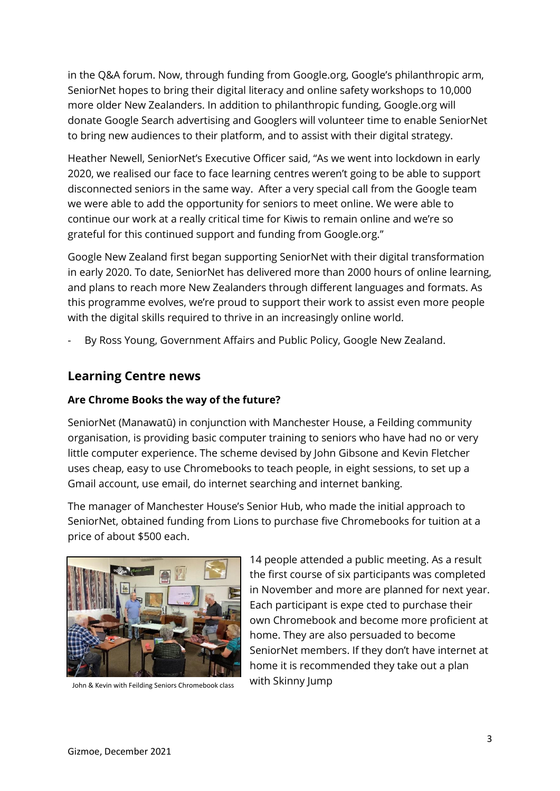in the Q&A forum. Now, through funding from [Google.org](http://www.google.org/), Google's philanthropic arm, SeniorNet hopes to bring their digital literacy and online safety workshops to 10,000 more older New Zealanders. In addition to philanthropic funding, Google.org will donate Google Search advertising and Googlers will volunteer time to enable SeniorNet to bring new audiences to their platform, and to assist with their digital strategy.

Heather Newell, SeniorNet's Executive Officer said, "As we went into lockdown in early 2020, we realised our face to face learning centres weren't going to be able to support disconnected seniors in the same way. After a very special call from the Google team we were able to add the opportunity for seniors to meet online. We were able to continue our work at a really critical time for Kiwis to remain online and we're so grateful for this continued support and funding from Google.org."

Google New Zealand first began supporting SeniorNet with their digital transformation in early 2020. To date, SeniorNet has delivered more than 2000 hours of online learning, and plans to reach more New Zealanders through different languages and formats. As this programme evolves, we're proud to support their work to assist even more people with the digital skills required to thrive in an increasingly online world.

By Ross Young, Government Affairs and Public Policy, Google New Zealand.

#### **Learning Centre news**

#### **Are Chrome Books the way of the future?**

SeniorNet (Manawatū) in conjunction with Manchester House, a Feilding community organisation, is providing basic computer training to seniors who have had no or very little computer experience. The scheme devised by John Gibsone and Kevin Fletcher uses cheap, easy to use Chromebooks to teach people, in eight sessions, to set up a Gmail account, use email, do internet searching and internet banking.

The manager of Manchester House's Senior Hub, who made the initial approach to SeniorNet, obtained funding from Lions to purchase five Chromebooks for tuition at a price of about \$500 each.



John & Kevin with Feilding Seniors Chromebook class With Skinny Jump

14 people attended a public meeting. As a result the first course of six participants was completed in November and more are planned for next year. Each participant is expe cted to purchase their own Chromebook and become more proficient at home. They are also persuaded to become SeniorNet members. If they don't have internet at home it is recommended they take out a plan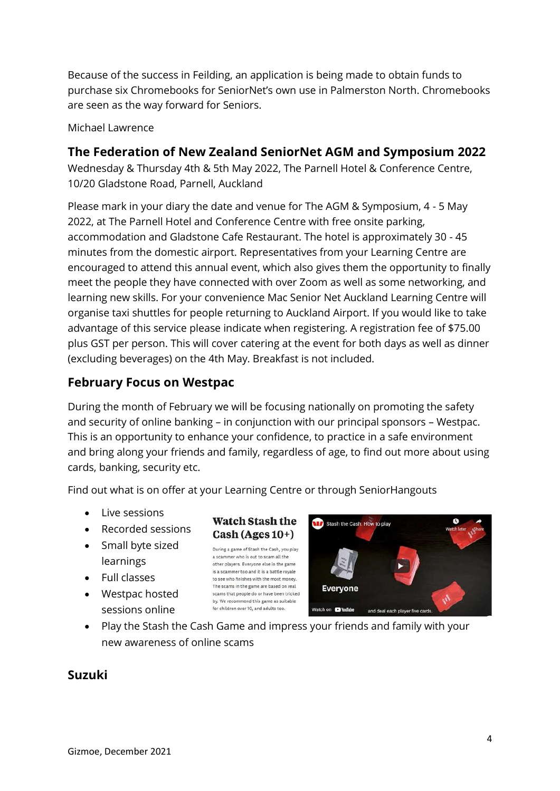Because of the success in Feilding, an application is being made to obtain funds to purchase six Chromebooks for SeniorNet's own use in Palmerston North. Chromebooks are seen as the way forward for Seniors.

Michael Lawrence

#### **The Federation of New Zealand SeniorNet AGM and Symposium 2022**

Wednesday & Thursday 4th & 5th May 2022, The Parnell Hotel & Conference Centre, 10/20 Gladstone Road, Parnell, Auckland

Please mark in your diary the date and venue for The AGM & Symposium, 4 - 5 May 2022, at The Parnell Hotel and Conference Centre with free onsite parking, accommodation and Gladstone Cafe Restaurant. The hotel is approximately 30 - 45 minutes from the domestic airport. Representatives from your Learning Centre are encouraged to attend this annual event, which also gives them the opportunity to finally meet the people they have connected with over Zoom as well as some networking, and learning new skills. For your convenience Mac Senior Net Auckland Learning Centre will organise taxi shuttles for people returning to Auckland Airport. If you would like to take advantage of this service please indicate when registering. A registration fee of \$75.00 plus GST per person. This will cover catering at the event for both days as well as dinner (excluding beverages) on the 4th May. Breakfast is not included.

### **February Focus on Westpac**

During the month of February we will be focusing nationally on promoting the safety and security of online banking – in conjunction with our principal sponsors – Westpac. This is an opportunity to enhance your confidence, to practice in a safe environment and bring along your friends and family, regardless of age, to find out more about using cards, banking, security etc.

Find out what is on offer at your Learning Centre or through SeniorHangouts

- Live sessions
- Recorded sessions
- Small byte sized learnings
- Full classes
- Westpac hosted sessions online

#### **Watch Stash the**  $Cash (Ages 10+)$

During a game of Stash the Cash, you play a scammer who is out to scam all the other players. Everyone else in the game is a scammer too and it is a battle royale to see who finishes with the most money. The scams in the game are based on real scams that people do or have been tricked by. We recommend this game as suitable for children over 10, and adults too.



• Play the Stash the Cash Game and impress your friends and family with your new awareness of online scams

#### **Suzuki**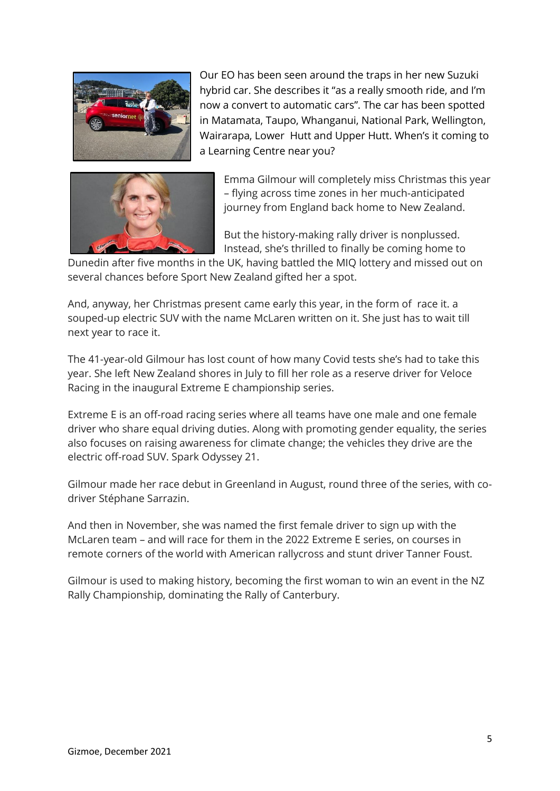

Our EO has been seen around the traps in her new Suzuki hybrid car. She describes it "as a really smooth ride, and I'm now a convert to automatic cars". The car has been spotted in Matamata, Taupo, Whanganui, National Park, Wellington, Wairarapa, Lower Hutt and Upper Hutt. When's it coming to a Learning Centre near you?



Emma Gilmour will completely miss Christmas this year – flying across time zones in her much-anticipated journey from England back home to New Zealand.

But the history-making rally driver is nonplussed. Instead, she's thrilled to finally be coming home to

Dunedin after five months in the UK, having battled the MIQ lottery and missed out on several chances before Sport New Zealand gifted her a spot.

And, anyway, her Christmas present came early this year, in the form of race it. [a](https://www.stuff.co.nz/sport/women-in-sport/126875819/it-gives-me-goosebumps-kiwi-emma-gilmour-inks-historymaking-deal-with-mclaren-for-extreme-e-rally-series)  [souped-up electric SUV with the](https://www.stuff.co.nz/sport/women-in-sport/126875819/it-gives-me-goosebumps-kiwi-emma-gilmour-inks-historymaking-deal-with-mclaren-for-extreme-e-rally-series) name McLaren written on it. She just has to wait till next year to race it.

The 41-year-old Gilmour has lost count of how many Covid tests she's had to take this year. She left New Zealand shores in July to fill [her role as a reserve driver for Veloce](https://www.newsroom.co.nz/lockerroom/emma-gilmour-waits-for-extreme-rallying-call)  [Racing](https://www.newsroom.co.nz/lockerroom/emma-gilmour-waits-for-extreme-rallying-call) in the inaugural Extreme E championship series.

Extreme E is an off-road racing series where all teams have one male and one female driver who share equal driving duties. Along with promoting gender equality, the series also focuses on raising awareness for climate change; the vehicles they drive are the electric off-road SUV. Spark Odyssey 21.

Gilmour made her race debut in Greenland in August, round three of the series, with codriver Stéphane Sarrazin.

And then in November, she was named the first female driver to sign up with the McLaren team – and will race for them in the 2022 Extreme E series, on courses in remote corners of the world with American rallycross and stunt driver Tanner Foust.

Gilmour is used to making history, becoming the first woman to win an event in the NZ Rally Championship, dominating the Rally of Canterbury.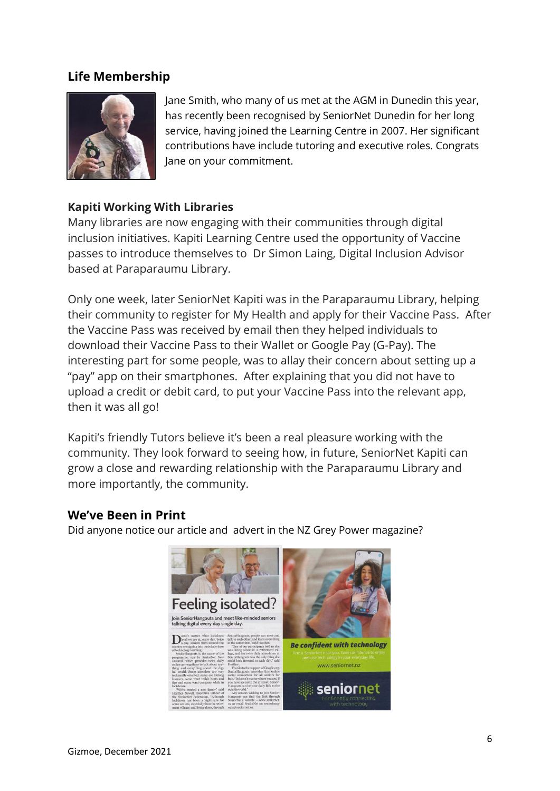#### **Life Membership**



Jane Smith, who many of us met at the AGM in Dunedin this year, has recently been recognised by SeniorNet Dunedin for her long service, having joined the Learning Centre in 2007. Her significant contributions have include tutoring and executive roles. Congrats Jane on your commitment.

#### **Kapiti Working With Libraries**

Many libraries are now engaging with their communities through digital inclusion initiatives. Kapiti Learning Centre used the opportunity of Vaccine passes to introduce themselves to Dr Simon Laing, Digital Inclusion Advisor based at Paraparaumu Library.

Only one week, later SeniorNet Kapiti was in the Paraparaumu Library, helping their community to register for My Health and apply for their Vaccine Pass. After the Vaccine Pass was received by email then they helped individuals to download their Vaccine Pass to their Wallet or Google Pay (G-Pay). The interesting part for some people, was to allay their concern about setting up a "pay" app on their smartphones. After explaining that you did not have to upload a credit or debit card, to put your Vaccine Pass into the relevant app, then it was all go!

Kapiti's friendly Tutors believe it's been a real pleasure working with the community. They look forward to seeing how, in future, SeniorNet Kapiti can grow a close and rewarding relationship with the Paraparaumu Library and more importantly, the community.

#### **We've Been in Print**

Did anyone notice our article and advert in the NZ Grey Power magazine?

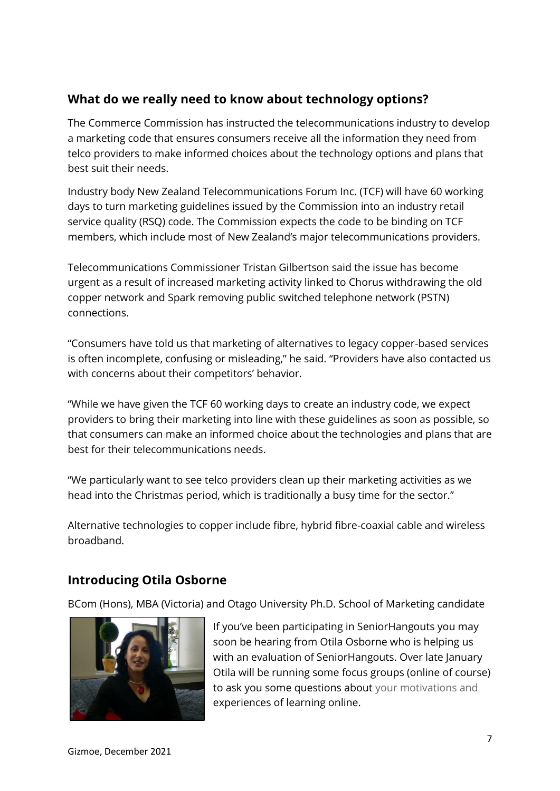## **What do we really need to know about technology options?**

The Commerce Commission has instructed the telecommunications industry to develop a marketing code that ensures consumers receive all the information they need from telco providers to make informed choices about the technology options and plans that best suit their needs.

Industry body New Zealand Telecommunications Forum Inc. (TCF) will have 60 working days to turn marketing guidelines issued by the Commission into an industry retail service quality (RSQ) code. The Commission expects the code to be binding on TCF members, which include most of New Zealand's major telecommunications providers.

Telecommunications Commissioner Tristan Gilbertson said the issue has become urgent as a result of increased marketing activity linked to Chorus withdrawing the old copper network and Spark removing public switched telephone network (PSTN) connections.

"Consumers have told us that marketing of alternatives to legacy copper-based services is often incomplete, confusing or misleading," he said. "Providers have also contacted us with concerns about their competitors' behavior.

"While we have given the TCF 60 working days to create an industry code, we expect providers to bring their marketing into line with these guidelines as soon as possible, so that consumers can make an informed choice about the technologies and plans that are best for their telecommunications needs.

"We particularly want to see telco providers clean up their marketing activities as we head into the Christmas period, which is traditionally a busy time for the sector."

Alternative technologies to copper include fibre, hybrid fibre-coaxial cable and wireless broadband.

## **Introducing Otila Osborne**

BCom (Hons), MBA (Victoria) and Otago University Ph.D. School of Marketing candidate



If you've been participating in SeniorHangouts you may soon be hearing from Otila Osborne who is helping us with an evaluation of SeniorHangouts. Over late January Otila will be running some focus groups (online of course) to ask you some questions about your motivations and experiences of learning online.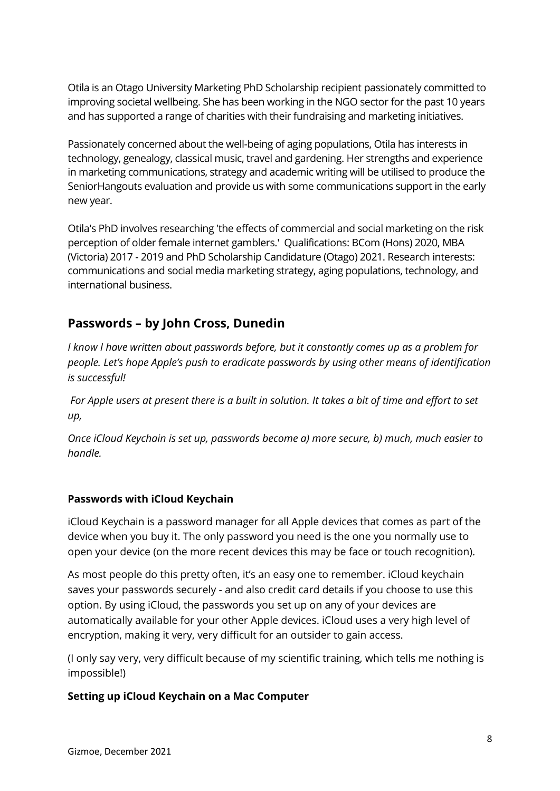Otila is an Otago University Marketing PhD Scholarship recipient passionately committed to improving societal wellbeing. She has been working in the NGO sector for the past 10 years and has supported a range of charities with their fundraising and marketing initiatives.

Passionately concerned about the well-being of aging populations, Otila has interests in technology, genealogy, classical music, travel and gardening. Her strengths and experience in marketing communications, strategy and academic writing will be utilised to produce the SeniorHangouts evaluation and provide us with some communications support in the early new year.

Otila's PhD involves researching 'the effects of commercial and social marketing on the risk perception of older female internet gamblers.' Qualifications: BCom (Hons) 2020, MBA (Victoria) 2017 - 2019 and PhD Scholarship Candidature (Otago) 2021. Research interests: communications and social media marketing strategy, aging populations, technology, and international business.

## **Passwords – by John Cross, Dunedin**

*I know I have written about passwords before, but it constantly comes up as a problem for people. Let's hope Apple's push to eradicate passwords by using other means of identification is successful!* 

*For Apple users at present there is a built in solution. It takes a bit of time and effort to set up,* 

*Once iCloud Keychain is set up, passwords become a) more secure, b) much, much easier to handle.* 

#### **Passwords with iCloud Keychain**

iCloud Keychain is a password manager for all Apple devices that comes as part of the device when you buy it. The only password you need is the one you normally use to open your device (on the more recent devices this may be face or touch recognition).

As most people do this pretty often, it's an easy one to remember. iCloud keychain saves your passwords securely - and also credit card details if you choose to use this option. By using iCloud, the passwords you set up on any of your devices are automatically available for your other Apple devices. iCloud uses a very high level of encryption, making it very, very difficult for an outsider to gain access.

(I only say very, very difficult because of my scientific training, which tells me nothing is impossible!)

#### **Setting up iCloud Keychain on a Mac Computer**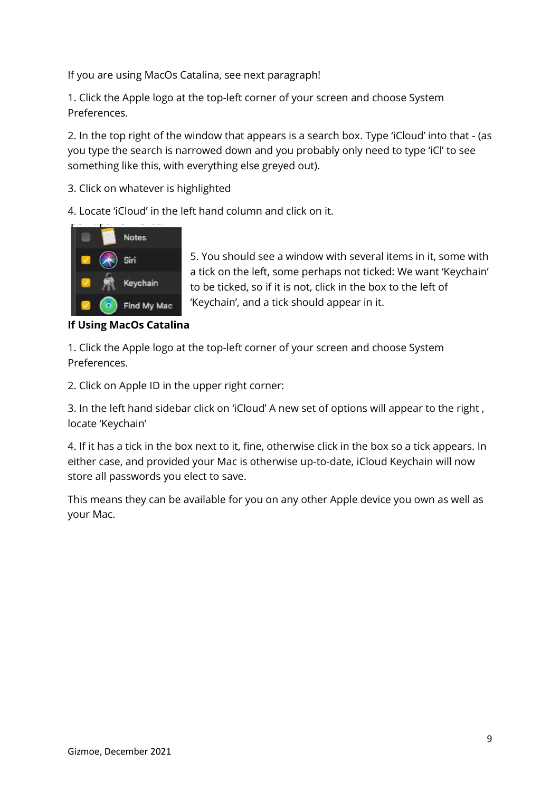If you are using MacOs Catalina, see next paragraph!

1. Click the Apple logo at the top-left corner of your screen and choose System Preferences.

2. In the top right of the window that appears is a search box. Type 'iCloud' into that - (as you type the search is narrowed down and you probably only need to type 'iCl' to see something like this, with everything else greyed out).

3. Click on whatever is highlighted

4. Locate 'iCloud' in the left hand column and click on it.



5. You should see a window with several items in it, some with a tick on the left, some perhaps not ticked: We want 'Keychain' to be ticked, so if it is not, click in the box to the left of 'Keychain', and a tick should appear in it.

**If Using MacOs Catalina** 

1. Click the Apple logo at the top-left corner of your screen and choose System Preferences.

2. Click on Apple ID in the upper right corner:

3. In the left hand sidebar click on 'iCloud' A new set of options will appear to the right , locate 'Keychain'

4. If it has a tick in the box next to it, fine, otherwise click in the box so a tick appears. In either case, and provided your Mac is otherwise up-to-date, iCloud Keychain will now store all passwords you elect to save.

This means they can be available for you on any other Apple device you own as well as your Mac.